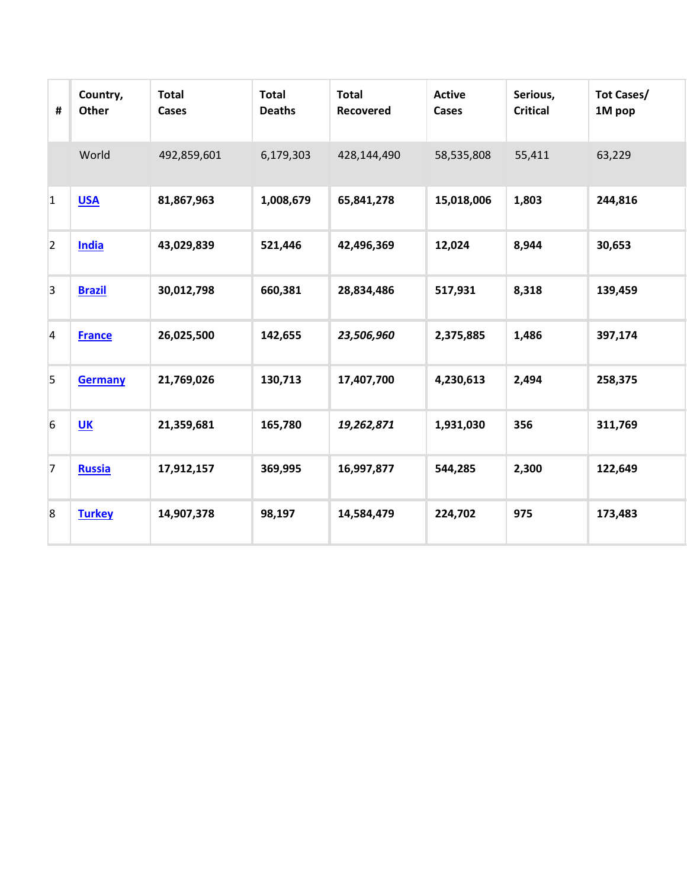| #              | Country,<br>Other | <b>Total</b><br>Cases | <b>Total</b><br><b>Deaths</b> | <b>Total</b><br>Recovered | <b>Active</b><br>Cases | Serious,<br><b>Critical</b> | <b>Tot Cases/</b><br>1M pop |
|----------------|-------------------|-----------------------|-------------------------------|---------------------------|------------------------|-----------------------------|-----------------------------|
|                | World             | 492,859,601           | 6,179,303                     | 428,144,490               | 58,535,808             | 55,411                      | 63,229                      |
| $\overline{1}$ | <b>USA</b>        | 81,867,963            | 1,008,679                     | 65,841,278                | 15,018,006             | 1,803                       | 244,816                     |
| $\overline{2}$ | <b>India</b>      | 43,029,839            | 521,446                       | 42,496,369                | 12,024                 | 8,944                       | 30,653                      |
| $\overline{3}$ | <b>Brazil</b>     | 30,012,798            | 660,381                       | 28,834,486                | 517,931                | 8,318                       | 139,459                     |
| $\overline{4}$ | <b>France</b>     | 26,025,500            | 142,655                       | 23,506,960                | 2,375,885              | 1,486                       | 397,174                     |
| 5              | <b>Germany</b>    | 21,769,026            | 130,713                       | 17,407,700                | 4,230,613              | 2,494                       | 258,375                     |
| $6\phantom{a}$ | UK                | 21,359,681            | 165,780                       | 19,262,871                | 1,931,030              | 356                         | 311,769                     |
| $\overline{7}$ | Russia            | 17,912,157            | 369,995                       | 16,997,877                | 544,285                | 2,300                       | 122,649                     |
| 8              | <b>Turkey</b>     | 14,907,378            | 98,197                        | 14,584,479                | 224,702                | 975                         | 173,483                     |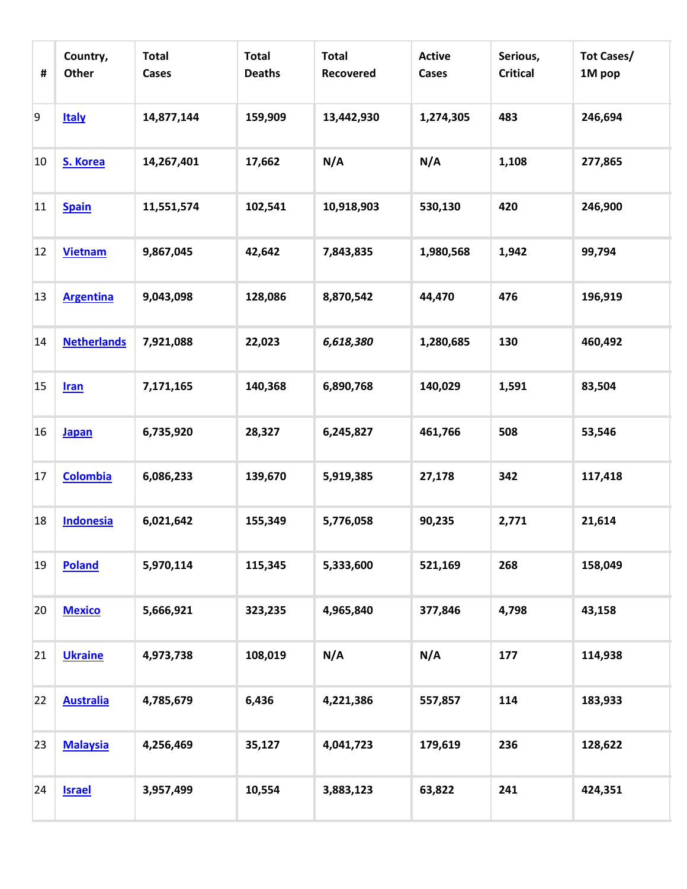| #  | Country,<br>Other  | <b>Total</b><br><b>Cases</b> | <b>Total</b><br><b>Deaths</b> | <b>Total</b><br><b>Recovered</b> | <b>Active</b><br><b>Cases</b> | Serious,<br><b>Critical</b> | <b>Tot Cases/</b><br>1M pop |
|----|--------------------|------------------------------|-------------------------------|----------------------------------|-------------------------------|-----------------------------|-----------------------------|
| 9  | <b>Italy</b>       | 14,877,144                   | 159,909                       | 13,442,930                       | 1,274,305                     | 483                         | 246,694                     |
| 10 | S. Korea           | 14,267,401                   | 17,662                        | N/A                              | N/A                           | 1,108                       | 277,865                     |
| 11 | <b>Spain</b>       | 11,551,574                   | 102,541                       | 10,918,903                       | 530,130                       | 420                         | 246,900                     |
| 12 | <b>Vietnam</b>     | 9,867,045                    | 42,642                        | 7,843,835                        | 1,980,568                     | 1,942                       | 99,794                      |
| 13 | <b>Argentina</b>   | 9,043,098                    | 128,086                       | 8,870,542                        | 44,470                        | 476                         | 196,919                     |
| 14 | <b>Netherlands</b> | 7,921,088                    | 22,023                        | 6,618,380                        | 1,280,685                     | 130                         | 460,492                     |
| 15 | <b>Iran</b>        | 7,171,165                    | 140,368                       | 6,890,768                        | 140,029                       | 1,591                       | 83,504                      |
| 16 | <b>Japan</b>       | 6,735,920                    | 28,327                        | 6,245,827                        | 461,766                       | 508                         | 53,546                      |
| 17 | <b>Colombia</b>    | 6,086,233                    | 139,670                       | 5,919,385                        | 27,178                        | 342                         | 117,418                     |
| 18 | <b>Indonesia</b>   | 6,021,642                    | 155,349                       | 5,776,058                        | 90,235                        | 2,771                       | 21,614                      |
| 19 | <b>Poland</b>      | 5,970,114                    | 115,345                       | 5,333,600                        | 521,169                       | 268                         | 158,049                     |
| 20 | <b>Mexico</b>      | 5,666,921                    | 323,235                       | 4,965,840                        | 377,846                       | 4,798                       | 43,158                      |
| 21 | <b>Ukraine</b>     | 4,973,738                    | 108,019                       | N/A                              | N/A                           | 177                         | 114,938                     |
| 22 | <b>Australia</b>   | 4,785,679                    | 6,436                         | 4,221,386                        | 557,857                       | 114                         | 183,933                     |
| 23 | <b>Malaysia</b>    | 4,256,469                    | 35,127                        | 4,041,723                        | 179,619                       | 236                         | 128,622                     |
| 24 | <b>Israel</b>      | 3,957,499                    | 10,554                        | 3,883,123                        | 63,822                        | 241                         | 424,351                     |